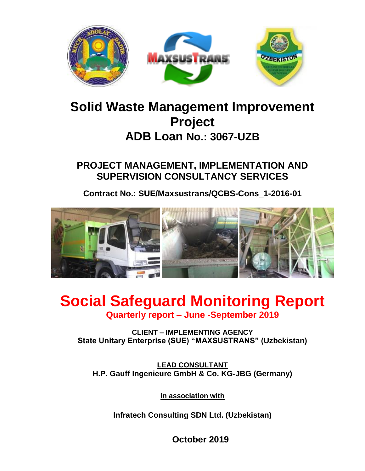

# **Solid Waste Management Improvement Project ADB Loan No.: 3067-UZB**

**PROJECT MANAGEMENT, IMPLEMENTATION AND SUPERVISION CONSULTANCY SERVICES**

**Contract No.: SUE/Maxsustrans/QCBS-Cons\_1-2016-01**



# **Social Safeguard Monitoring Report Quarterly report – June -September 2019**

**CLIENT – IMPLEMENTING AGENCY State Unitary Enterprise (SUE) "MAXSUSTRANS" (Uzbekistan)**

**LEAD CONSULTANT H.P. Gauff Ingenieure GmbH & Co. KG-JBG (Germany)**

**in association with**

**Infratech Consulting SDN Ltd. (Uzbekistan)**

**October 2019**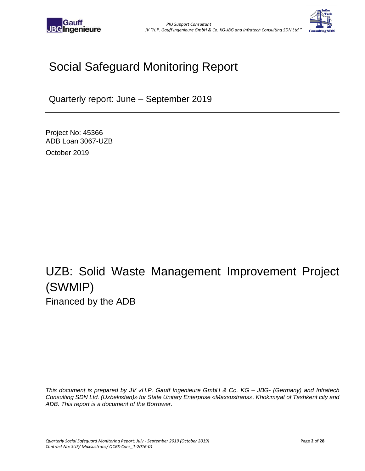



# Social Safeguard Monitoring Report

Quarterly report: June – September 2019

Project No: 45366 ADB Loan 3067-UZB October 2019

# UZB: Solid Waste Management Improvement Project (SWMIP) Financed by the ADB

*This document is prepared by JV «H.P. Gauff Ingenieure GmbH & Co. KG – JBG- (Germany) and Infratech Consulting SDN Ltd. (Uzbekistan)» for State Unitary Enterprise «Maxsustrans», Khokimiyat of Tashkent city and ADB. This report is a document of the Borrower.*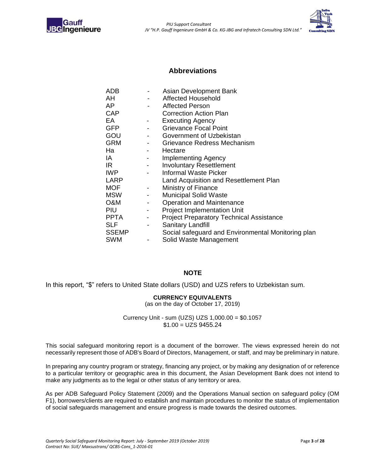<span id="page-2-0"></span>



### **Abbreviations**

|                          | Asian Development Bank                             |
|--------------------------|----------------------------------------------------|
|                          | Affected Household                                 |
| $\blacksquare$           | <b>Affected Person</b>                             |
|                          | <b>Correction Action Plan</b>                      |
| $\overline{\phantom{a}}$ | <b>Executing Agency</b>                            |
|                          | <b>Grievance Focal Point</b>                       |
| $\sim$                   | Government of Uzbekistan                           |
| $\sim$                   | Grievance Redress Mechanism                        |
| $\sim$ 100 $\mu$         | Hectare                                            |
|                          | Implementing Agency                                |
| $\sim 100$               | <b>Involuntary Resettlement</b>                    |
|                          | Informal Waste Picker                              |
|                          | Land Acquisition and Resettlement Plan             |
| $\blacksquare$           | Ministry of Finance                                |
|                          | <b>Municipal Solid Waste</b>                       |
|                          | <b>Operation and Maintenance</b>                   |
|                          | <b>Project Implementation Unit</b>                 |
| $\sim$                   | <b>Project Preparatory Technical Assistance</b>    |
| $\overline{a}$           | Sanitary Landfill                                  |
|                          | Social safeguard and Environmental Monitoring plan |
|                          | Solid Waste Management                             |
|                          |                                                    |

#### **NOTE**

In this report, "\$" refers to United State dollars (USD) and UZS refers to Uzbekistan sum.

#### **CURRENCY EQUIVALENTS**

(as on the day of October 17, 2019)

Currency Unit - sum (UZS) UZS 1,000.00 = \$0.1057  $$1.00 = UZS 9455.24$ 

This social safeguard monitoring report is a document of the borrower. The views expressed herein do not necessarily represent those of ADB's Board of Directors, Management, or staff, and may be preliminary in nature.

In preparing any country program or strategy, financing any project, or by making any designation of or reference to a particular territory or geographic area in this document, the Asian Development Bank does not intend to make any judgments as to the legal or other status of any territory or area.

As per ADB Safeguard Policy Statement (2009) and the Operations Manual section on safeguard policy (OM F1), borrowers/clients are required to establish and maintain procedures to monitor the status of implementation of social safeguards management and ensure progress is made towards the desired outcomes.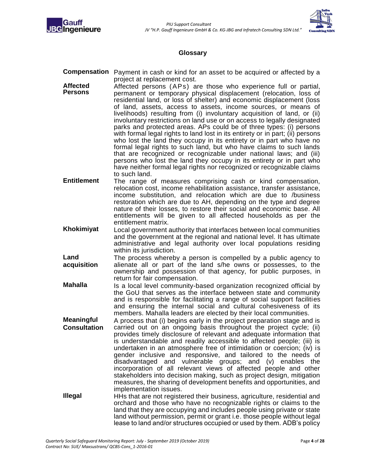



### **Glossary**

- <span id="page-3-0"></span>**Compensation** Payment in cash or kind for an asset to be acquired or affected by a project at replacement cost.
- **Affected Persons** Affected persons (APs) are those who experience full or partial, permanent or temporary physical displacement (relocation, loss of residential land, or loss of shelter) and economic displacement (loss of land, assets, access to assets, income sources, or means of livelihoods) resulting from (i) involuntary acquisition of land, or (ii) involuntary restrictions on land use or on access to legally designated parks and protected areas. APs could be of three types: (i) persons with formal legal rights to land lost in its entirety or in part; (ii) persons who lost the land they occupy in its entirety or in part who have no formal legal rights to such land, but who have claims to such lands that are recognized or recognizable under national laws; and (iii) persons who lost the land they occupy in its entirety or in part who have neither formal legal rights nor recognized or recognizable claims to such land.
- **Entitlement** The range of measures comprising cash or kind compensation, relocation cost, income rehabilitation assistance, transfer assistance, income substitution, and relocation which are due to /business restoration which are due to AH, depending on the type and degree nature of their losses, to restore their social and economic base. All entitlements will be given to all affected households as per the entitlement matrix.
- **Khokimiyat** Local government authority that interfaces between local communities and the government at the regional and national level. It has ultimate administrative and legal authority over local populations residing within its jurisdiction.
- **Land acquisition** The process whereby a person is compelled by a public agency to alienate all or part of the land s/he owns or possesses, to the ownership and possession of that agency, for public purposes, in return for fair compensation.
- **Mahalla** Is a local level community-based organization recognized official by the GoU that serves as the interface between state and community and is responsible for facilitating a range of social support facilities and ensuring the internal social and cultural cohesiveness of its members. Mahalla leaders are elected by their local communities.
- **Meaningful Consultation** A process that (i) begins early in the project preparation stage and is carried out on an ongoing basis throughout the project cycle; (ii) provides timely disclosure of relevant and adequate information that is understandable and readily accessible to affected people; (iii) is undertaken in an atmosphere free of intimidation or coercion; (iv) is gender inclusive and responsive, and tailored to the needs of disadvantaged and vulnerable groups; and (v) enables the incorporation of all relevant views of affected people and other stakeholders into decision making, such as project design, mitigation measures, the sharing of development benefits and opportunities, and implementation issues.
- **Illegal** HHs that are not registered their business, agriculture, residential and orchard and those who have no recognizable rights or claims to the land that they are occupying and includes people using private or state land without permission, permit or grant i.e. those people without legal lease to land and/or structures occupied or used by them. ADB's policy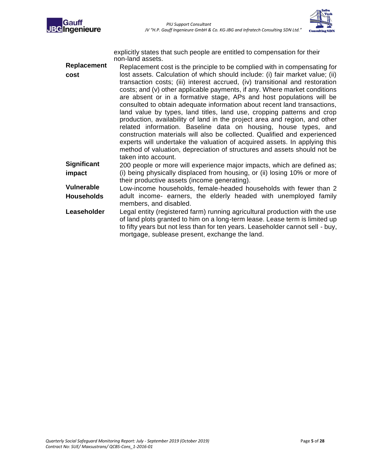



explicitly states that such people are entitled to compensation for their non-land assets.

**Replacement cost** Replacement cost is the principle to be complied with in compensating for lost assets. Calculation of which should include: (i) fair market value; (ii) transaction costs; (iii) interest accrued, (iv) transitional and restoration costs; and (v) other applicable payments, if any. Where market conditions are absent or in a formative stage, APs and host populations will be consulted to obtain adequate information about recent land transactions, land value by types, land titles, land use, cropping patterns and crop production, availability of land in the project area and region, and other related information. Baseline data on housing, house types, and construction materials will also be collected. Qualified and experienced experts will undertake the valuation of acquired assets. In applying this method of valuation, depreciation of structures and assets should not be taken into account. **Significant** 200 people or more will experience major impacts, which are defined as;

**impact** (i) being physically displaced from housing, or (ii) losing 10% or more of their productive assets (income generating).

**Vulnerable Households** Low-income households, female-headed households with fewer than 2 adult income- earners, the elderly headed with unemployed family members, and disabled.

**Leaseholder** Legal entity (registered farm) running agricultural production with the use of land plots granted to him on a long-term lease. Lease term is limited up to fifty years but not less than for ten years. Leaseholder cannot sell - buy, mortgage, sublease present, exchange the land.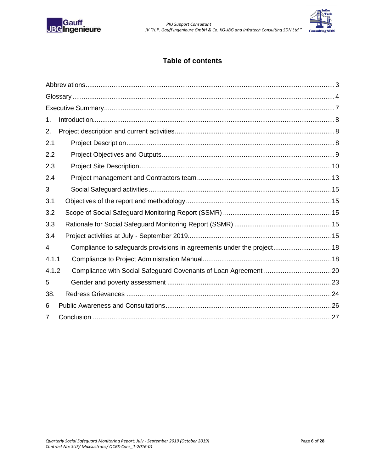



### **Table of contents**

| 1.    |                                                                        |  |
|-------|------------------------------------------------------------------------|--|
| 2.    |                                                                        |  |
| 2.1   |                                                                        |  |
| 2.2   |                                                                        |  |
| 2.3   |                                                                        |  |
| 2.4   |                                                                        |  |
| 3     |                                                                        |  |
| 3.1   |                                                                        |  |
| 3.2   |                                                                        |  |
| 3.3   |                                                                        |  |
| 3.4   |                                                                        |  |
| 4     | Compliance to safeguards provisions in agreements under the project 18 |  |
| 4.1.1 |                                                                        |  |
| 4.1.2 |                                                                        |  |
| 5     |                                                                        |  |
| 38.   |                                                                        |  |
| 6     |                                                                        |  |
| 7     |                                                                        |  |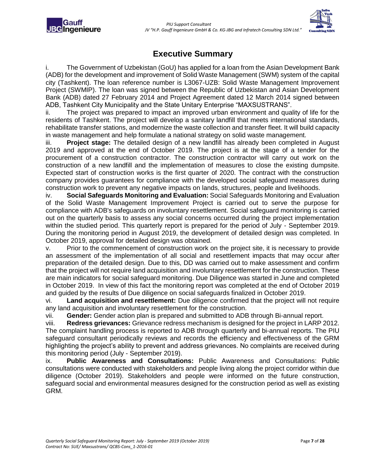

### **Executive Summary**

<span id="page-6-0"></span>i. The Government of Uzbekistan (GoU) has applied for a loan from the Asian Development Bank (ADB) for the development and improvement of Solid Waste Management (SWM) system of the capital city (Tashkent). The loan reference number is L3067-UZB: Solid Waste Management Improvement Project (SWMIP). The loan was signed between the Republic of Uzbekistan and Asian Development Bank (ADB) dated 27 February 2014 and Project Agreement dated 12 March 2014 signed between ADB, Tashkent City Municipality and the State Unitary Enterprise "MAXSUSTRANS".

ii. The project was prepared to impact an improved urban environment and quality of life for the residents of Tashkent. The project will develop a sanitary landfill that meets international standards, rehabilitate transfer stations, and modernize the waste collection and transfer fleet. It will build capacity in waste management and help formulate a national strategy on solid waste management.

iii. **Project stage:** The detailed design of a new landfill has already been completed in August 2019 and approved at the end of October 2019. The project is at the stage of a tender for the procurement of a construction contractor. The construction contractor will carry out work on the construction of a new landfill and the implementation of measures to close the existing dumpsite. Expected start of construction works is the first quarter of 2020. The contract with the construction company provides guarantees for compliance with the developed social safeguard measures during construction work to prevent any negative impacts on lands, structures, people and livelihoods.

iv. **Social Safeguards Monitoring and Evaluation:** Social Safeguards Monitoring and Evaluation of the Solid Waste Management Improvement Project is carried out to serve the purpose for compliance with ADB's safeguards on involuntary resettlement. Social safeguard monitoring is carried out on the quarterly basis to assess any social concerns occurred during the project implementation within the studied period. This quarterly report is prepared for the period of July - September 2019. During the monitoring period in August 2019, the development of detailed design was completed. In October 2019, approval for detailed design was obtained.

v. Prior to the commencement of construction work on the project site, it is necessary to provide an assessment of the implementation of all social and resettlement impacts that may occur after preparation of the detailed design. Due to this, DD was carried out to make assessment and confirm that the project will not require land acquisition and involuntary resettlement for the construction. These are main indicators for social safeguard monitoring. Due Diligence was started in June and completed in October 2019. In view of this fact the monitoring report was completed at the end of October 2019 and guided by the results of Due diligence on social safeguards finalized in October 2019.

vi. **Land acquisition and resettlement:** Due diligence confirmed that the project will not require any land acquisition and involuntary resettlement for the construction.

vii. **Gender:** Gender action plan is prepared and submitted to ADB through Bi-annual report.

viii. **Redress grievances:** Grievance redress mechanism is designed for the project in LARP 2012. The complaint handling process is reported to ADB through quarterly and bi-annual reports. The PIU safeguard consultant periodically reviews and records the efficiency and effectiveness of the GRM highlighting the project's ability to prevent and address grievances. No complaints are received during this monitoring period (July - September 2019).

ix. **Public Awareness and Consultations:** Public Awareness and Consultations: Public consultations were conducted with stakeholders and people living along the project corridor within due diligence (October 2019). Stakeholders and people were informed on the future construction, safeguard social and environmental measures designed for the construction period as well as existing GRM.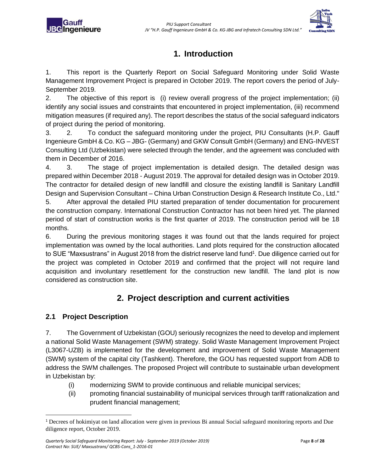

## **1. Introduction**

<span id="page-7-0"></span>1. This report is the Quarterly Report on Social Safeguard Monitoring under Solid Waste Management Improvement Project is prepared in October 2019. The report covers the period of July-September 2019.

2. The objective of this report is (i) review overall progress of the project implementation; (ii) identify any social issues and constraints that encountered in project implementation, (iii) recommend mitigation measures (if required any). The report describes the status of the social safeguard indicators of project during the period of monitoring.

3. 2. To conduct the safeguard monitoring under the project, PIU Consultants (H.P. Gauff Ingenieure GmbH & Co. KG – JBG- (Germany) and GKW Consult GmbH (Germany) and ENG-INVEST Consulting Ltd (Uzbekistan) were selected through the tender, and the agreement was concluded with them in December of 2016.

4. 3. The stage of project implementation is detailed design. The detailed design was prepared within December 2018 - August 2019. The approval for detailed design was in October 2019. The contractor for detailed design of new landfill and closure the existing landfill is Sanitary Landfill Design and Supervision Consultant – China Urban Construction Design & Research Institute Co., Ltd."

5. After approval the detailed PIU started preparation of tender documentation for procurement the construction company. International Construction Contractor has not been hired yet. The planned period of start of construction works is the first quarter of 2019. The construction period will be 18 months.

6. During the previous monitoring stages it was found out that the lands required for project implementation was owned by the local authorities. Land plots required for the construction allocated to SUE "Maxsustrans" in August 2018 from the district reserve land fund<sup>1</sup>. Due diligence carried out for the project was completed in October 2019 and confirmed that the project will not require land acquisition and involuntary resettlement for the construction new landfill. The land plot is now considered as construction site.

### **2. Project description and current activities**

### <span id="page-7-2"></span><span id="page-7-1"></span>**2.1 Project Description**

 $\overline{a}$ 

7. The Government of Uzbekistan (GOU) seriously recognizes the need to develop and implement a national Solid Waste Management (SWM) strategy. Solid Waste Management Improvement Project (L3067-UZB) is implemented for the development and improvement of Solid Waste Management (SWM) system of the capital city (Tashkent). Therefore, the GOU has requested support from ADB to address the SWM challenges. The proposed Project will contribute to sustainable urban development in Uzbekistan by:

- (i) modernizing SWM to provide continuous and reliable municipal services;
- (ii) promoting financial sustainability of municipal services through tariff rationalization and prudent financial management;

<sup>1</sup> Decrees of hokimiyat on land allocation were given in previous Bi annual Social safeguard monitoring reports and Due diligence report, October 2019.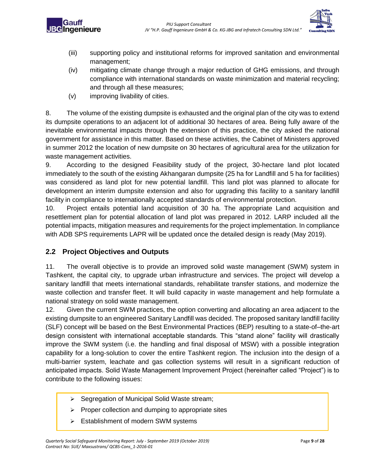



- (iii) supporting policy and institutional reforms for improved sanitation and environmental management;
- (iv) mitigating climate change through a major reduction of GHG emissions, and through compliance with international standards on waste minimization and material recycling; and through all these measures;
- (v) improving livability of cities.

8. The volume of the existing dumpsite is exhausted and the original plan of the city was to extend its dumpsite operations to an adjacent lot of additional 30 hectares of area. Being fully aware of the inevitable environmental impacts through the extension of this practice, the city asked the national government for assistance in this matter. Based on these activities, the Cabinet of Ministers approved in summer 2012 the location of new dumpsite on 30 hectares of agricultural area for the utilization for waste management activities.

9. According to the designed Feasibility study of the project, 30-hectare land plot located immediately to the south of the existing Akhangaran dumpsite (25 ha for Landfill and 5 ha for facilities) was considered as land plot for new potential landfill. This land plot was planned to allocate for development an interim dumpsite extension and also for upgrading this facility to a sanitary landfill facility in compliance to internationally accepted standards of environmental protection.

10. Project entails potential land acquisition of 30 ha. The appropriate Land acquisition and resettlement plan for potential allocation of land plot was prepared in 2012. LARP included all the potential impacts, mitigation measures and requirements for the project implementation. In compliance with ADB SPS requirements LAPR will be updated once the detailed design is ready (May 2019).

### <span id="page-8-0"></span>**2.2 Project Objectives and Outputs**

11. The overall objective is to provide an improved solid waste management (SWM) system in Tashkent, the capital city, to upgrade urban infrastructure and services. The project will develop a sanitary landfill that meets international standards, rehabilitate transfer stations, and modernize the waste collection and transfer fleet. It will build capacity in waste management and help formulate a national strategy on solid waste management.

12. Given the current SWM practices, the option converting and allocating an area adjacent to the existing dumpsite to an engineered Sanitary Landfill was decided. The proposed sanitary landfill facility (SLF) concept will be based on the Best Environmental Practices (BEP) resulting to a state-of–the-art design consistent with international acceptable standards. This "stand alone" facility will drastically improve the SWM system (i.e. the handling and final disposal of MSW) with a possible integration capability for a long-solution to cover the entire Tashkent region. The inclusion into the design of a multi-barrier system, leachate and gas collection systems will result in a significant reduction of anticipated impacts. Solid Waste Management Improvement Project (hereinafter called "Project") is to contribute to the following issues:

- ➢ Segregation of Municipal Solid Waste stream;
- ➢ Proper collection and dumping to appropriate sites
- Establishment of modern SWM systems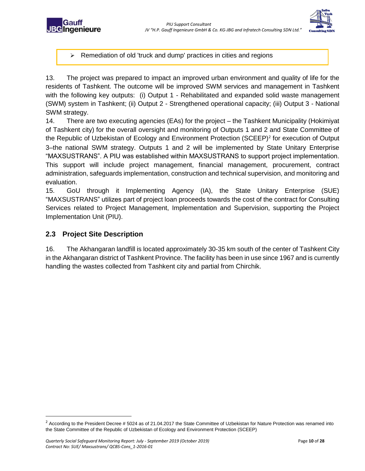

**BC**Ingenieure

➢ Remediation of old 'truck and dump' practices in cities and regions

13. The project was prepared to impact an improved urban environment and quality of life for the residents of Tashkent. The outcome will be improved SWM services and management in Tashkent with the following key outputs: (i) Output 1 - Rehabilitated and expanded solid waste management (SWM) system in Tashkent; (ii) Output 2 - Strengthened operational capacity; (iii) Output 3 - National SWM strategy.

14. There are two executing agencies (EAs) for the project – the Tashkent Municipality (Hokimiyat of Tashkent city) for the overall oversight and monitoring of Outputs 1 and 2 and State Committee of the Republic of Uzbekistan of Ecology and Environment Protection (SCEEP)<sup>2</sup> for execution of Output 3–the national SWM strategy. Outputs 1 and 2 will be implemented by State Unitary Enterprise "MAXSUSTRANS". A PIU was established within MAXSUSTRANS to support project implementation. This support will include project management, financial management, procurement, contract administration, safeguards implementation, construction and technical supervision, and monitoring and evaluation.

15. GoU through it Implementing Agency (IA), the State Unitary Enterprise (SUE) "MAXSUSTRANS" utilizes part of project loan proceeds towards the cost of the contract for Consulting Services related to Project Management, Implementation and Supervision, supporting the Project Implementation Unit (PIU).

### <span id="page-9-0"></span>**2.3 Project Site Description**

 $\overline{a}$ 

16. The Akhangaran landfill is located approximately 30-35 km south of the center of Tashkent City in the Akhangaran district of Tashkent Province. The facility has been in use since 1967 and is currently handling the wastes collected from Tashkent city and partial from Chirchik.

 $2$  According to the President Decree # 5024 as of 21.04.2017 the State Committee of Uzbekistan for Nature Protection was renamed into the State Committee of the Republic of Uzbekistan of Ecology and Environment Protection (SCEEP)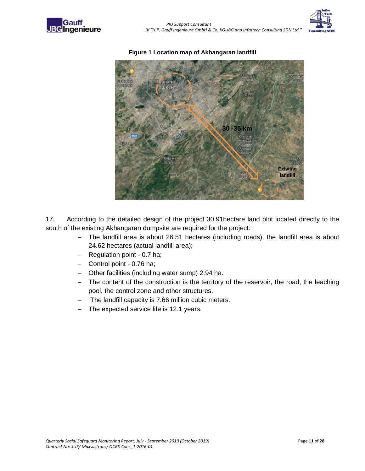





#### **Figure 1 Location map of Akhangaran landfill**

17. According to the detailed design of the project 30.91hectare land plot located directly to the south of the existing Akhangaran dumpsite are required for the project:

- − The landfill area is about 26.51 hectares (including roads), the landfill area is about 24.62 hectares (actual landfill area);
- − Regulation point 0.7 ha;
- − Control point 0.76 ha;
- − Other facilities (including water sump) 2.94 ha.
- The content of the construction is the territory of the reservoir, the road, the leaching pool, the control zone and other structures.
- The landfill capacity is 7.66 million cubic meters.
- − The expected service life is 12.1 years.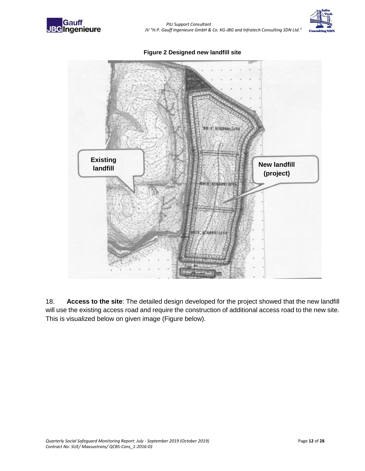

 *PIU Support Consultant JV "H.P. Gauff Ingenieure GmbH & Co. KG-JBG and Infratech Consulting SDN Ltd."*



**Figure 2 Designed new landfill site** 



18. **Access to the site**: The detailed design developed for the project showed that the new landfill will use the existing access road and require the construction of additional access road to the new site. This is visualized below on given image (Figure below).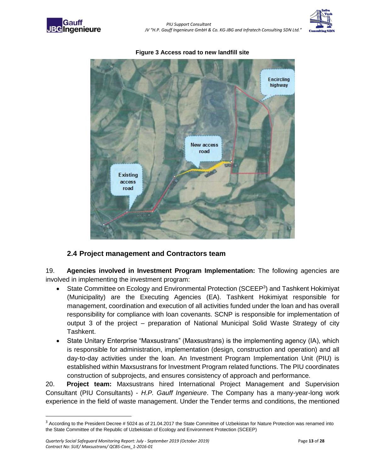



#### **Figure 3 Access road to new landfill site**

### <span id="page-12-0"></span>**2.4 Project management and Contractors team**

19. **Agencies involved in Investment Program Implementation:** The following agencies are involved in implementing the investment program:

- State Committee on Ecology and Environmental Protection (SCEEP<sup>3</sup>) and Tashkent Hokimiyat (Municipality) are the Executing Agencies (EA). Tashkent Hokimiyat responsible for management, coordination and execution of all activities funded under the loan and has overall responsibility for compliance with loan covenants. SCNP is responsible for implementation of output 3 of the project – preparation of National Municipal Solid Waste Strategy of city Tashkent.
- State Unitary Enterprise "Maxsustrans" (Maxsustrans) is the implementing agency (IA), which is responsible for administration, implementation (design, construction and operation) and all day-to-day activities under the loan. An Investment Program Implementation Unit (PIU) is established within Maxsustrans for Investment Program related functions. The PIU coordinates construction of subprojects, and ensures consistency of approach and performance.

20. **Project team:** Maxsustrans hired International Project Management and Supervision Consultant (PIU Consultants) - *H.P. Gauff Ingenieure*. The Company has a many-year-long work experience in the field of waste management. Under the Tender terms and conditions, the mentioned

 $\overline{a}$ 

 $3$  According to the President Decree # 5024 as of 21.04.2017 the State Committee of Uzbekistan for Nature Protection was renamed into the State Committee of the Republic of Uzbekistan of Ecology and Environment Protection (SCEEP)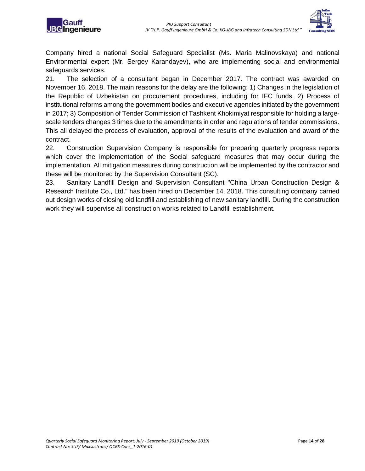



Company hired a national Social Safeguard Specialist (Ms. Maria Malinovskaya) and national Environmental expert (Mr. Sergey Karandayev), who are implementing social and environmental safeguards services.

21. The selection of a consultant began in December 2017. The contract was awarded on November 16, 2018. The main reasons for the delay are the following: 1) Changes in the legislation of the Republic of Uzbekistan on procurement procedures, including for IFC funds. 2) Process of institutional reforms among the government bodies and executive agencies initiated by the government in 2017; 3) Composition of Tender Commission of Tashkent Khokimiyat responsible for holding a largescale tenders changes 3 times due to the amendments in order and regulations of tender commissions. This all delayed the process of evaluation, approval of the results of the evaluation and award of the contract.

22. Construction Supervision Company is responsible for preparing quarterly progress reports which cover the implementation of the Social safeguard measures that may occur during the implementation. All mitigation measures during construction will be implemented by the contractor and these will be monitored by the Supervision Consultant (SC).

23. Sanitary Landfill Design and Supervision Consultant "China Urban Construction Design & Research Institute Co., Ltd." has been hired on December 14, 2018. This consulting company carried out design works of closing old landfill and establishing of new sanitary landfill. During the construction work they will supervise all construction works related to Landfill establishment.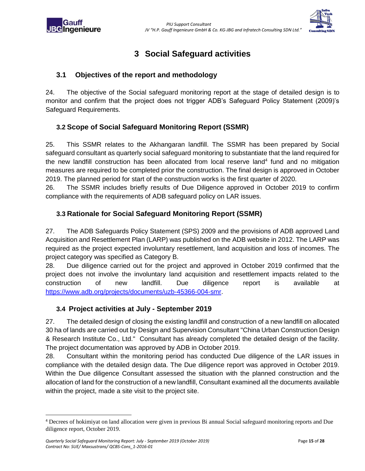

## **3 Social Safeguard activities**

### <span id="page-14-1"></span><span id="page-14-0"></span>**3.1 Objectives of the report and methodology**

24. The objective of the Social safeguard monitoring report at the stage of detailed design is to monitor and confirm that the project does not trigger ADB's Safeguard Policy Statement (2009)'s Safeguard Requirements.

### <span id="page-14-2"></span>**3.2 Scope of Social Safeguard Monitoring Report (SSMR)**

25. This SSMR relates to the Akhangaran landfill. The SSMR has been prepared by Social safeguard consultant as quarterly social safeguard monitoring to substantiate that the land required for the new landfill construction has been allocated from local reserve land<sup>4</sup> fund and no mitigation measures are required to be completed prior the construction. The final design is approved in October 2019. The planned period for start of the construction works is the first quarter of 2020.

26. The SSMR includes briefly results of Due Diligence approved in October 2019 to confirm compliance with the requirements of ADB safeguard policy on LAR issues.

### <span id="page-14-3"></span>**3.3 Rationale for Social Safeguard Monitoring Report (SSMR)**

27. The ADB Safeguards Policy Statement (SPS) 2009 and the provisions of ADB approved Land Acquisition and Resettlement Plan (LARP) was published on the ADB website in 2012. The LARP was required as the project expected involuntary resettlement, land acquisition and loss of incomes. The project category was specified as Category B.

28. Due diligence carried out for the project and approved in October 2019 confirmed that the project does not involve the involuntary land acquisition and resettlement impacts related to the construction of new landfill. Due diligence report is available at [https://www.adb.org/projects/documents/uzb-45366-004-smr.](https://www.adb.org/projects/documents/uzb-45366-004-smr)

### <span id="page-14-4"></span>**3.4 Project activities at July - September 2019**

27. The detailed design of closing the existing landfill and construction of a new landfill on allocated 30 ha of lands are carried out by Design and Supervision Consultant "China Urban Construction Design & Research Institute Co., Ltd." Consultant has already completed the detailed design of the facility. The project documentation was approved by ADB in October 2019.

28. Consultant within the monitoring period has conducted Due diligence of the LAR issues in compliance with the detailed design data. The Due diligence report was approved in October 2019. Within the Due diligence Consultant assessed the situation with the planned construction and the allocation of land for the construction of a new landfill, Consultant examined all the documents available within the project, made a site visit to the project site.

 $\overline{a}$ 

<sup>4</sup> Decrees of hokimiyat on land allocation were given in previous Bi annual Social safeguard monitoring reports and Due diligence report, October 2019.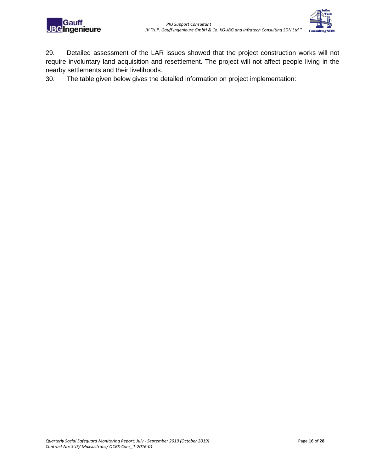



29. Detailed assessment of the LAR issues showed that the project construction works will not require involuntary land acquisition and resettlement. The project will not affect people living in the nearby settlements and their livelihoods.

30. The table given below gives the detailed information on project implementation: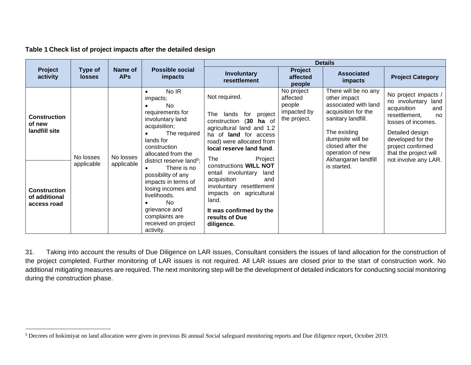### **Table 1 Check list of project impacts after the detailed design**

 $\overline{a}$ 

|                                                     |                          |                         |                                                                                                                        | <b>Details</b>                                                                                                                                                        |                                                                 |                                                                                                                                               |                                                                                                                                                           |
|-----------------------------------------------------|--------------------------|-------------------------|------------------------------------------------------------------------------------------------------------------------|-----------------------------------------------------------------------------------------------------------------------------------------------------------------------|-----------------------------------------------------------------|-----------------------------------------------------------------------------------------------------------------------------------------------|-----------------------------------------------------------------------------------------------------------------------------------------------------------|
| Project<br>activity                                 | Type of<br><b>losses</b> | Name of<br><b>APs</b>   | Possible social<br>impacts                                                                                             | <b>Involuntary</b><br>resettlement                                                                                                                                    | Project<br>affected<br>people                                   | <b>Associated</b><br>impacts                                                                                                                  | <b>Project Category</b>                                                                                                                                   |
| <b>Construction</b><br>of new<br>landfill site      |                          |                         | No IR<br>$\bullet$<br>impacts;<br><b>No</b><br>requirements for<br>involuntary land<br>acquisition;<br>The required    | Not required.<br>The<br>lands<br>project<br>for<br>(30)<br>construction<br>ha of<br>agricultural land and 1.2<br>ha of land for access                                | No project<br>affected<br>people<br>impacted by<br>the project. | There will be no any<br>other impact<br>associated with land<br>acquisition for the<br>sanitary landfill.<br>The existing<br>dumpsite will be | No project impacts /<br>no involuntary<br>land<br>acquisition<br>and<br>resettlement,<br>no<br>losses of incomes.<br>Detailed design<br>developed for the |
|                                                     | No losses                | No losses<br>applicable | lands for<br>construction<br>allocated from the<br>district reserve land <sup>5</sup> ;                                | road) were allocated from<br>local reserve land fund.<br>The<br>Project                                                                                               |                                                                 | closed after the<br>operation of new<br>Akhangaran landfill                                                                                   | project confirmed<br>that the project will<br>not involve any LAR.                                                                                        |
| <b>Construction</b><br>of additional<br>access road | applicable               |                         | There is no<br>possibility of any<br>impacts in terms of<br>losing incomes and<br>livelihoods.<br>No.<br>grievance and | constructions WILL NOT<br>entail involuntary<br>land<br>acquisition<br>and<br>involuntary resettlement<br>impacts on agricultural<br>land.<br>It was confirmed by the |                                                                 | is started.                                                                                                                                   |                                                                                                                                                           |
|                                                     |                          |                         | complaints are<br>received on project<br>activity.                                                                     | results of Due<br>diligence.                                                                                                                                          |                                                                 |                                                                                                                                               |                                                                                                                                                           |

31. Taking into account the results of Due Diligence on LAR issues, Consultant considers the issues of land allocation for the construction of the project completed. Further monitoring of LAR issues is not required. All LAR issues are closed prior to the start of construction work. No additional mitigating measures are required. The next monitoring step will be the development of detailed indicators for conducting social monitoring during the construction phase.

<sup>&</sup>lt;sup>5</sup> Decrees of hokimiyat on land allocation were given in previous Bi annual Social safeguard monitoring reports and Due diligence report, October 2019.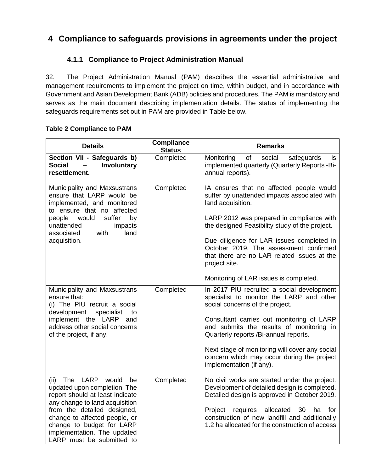### <span id="page-17-0"></span>**4 Compliance to safeguards provisions in agreements under the project**

### **4.1.1 Compliance to Project Administration Manual**

<span id="page-17-1"></span>32. The Project Administration Manual (PAM) describes the essential administrative and management requirements to implement the project on time, within budget, and in accordance with Government and Asian Development Bank (ADB) policies and procedures. The PAM is mandatory and serves as the main document describing implementation details. The status of implementing the safeguards requirements set out in PAM are provided in Table below.

#### **Table 2 Compliance to PAM**

| <b>Details</b>                                                                                                                                                                                                                                                                             | <b>Compliance</b><br><b>Status</b> | <b>Remarks</b>                                                                                                                                                                                                                                                                                                                                                                                                |
|--------------------------------------------------------------------------------------------------------------------------------------------------------------------------------------------------------------------------------------------------------------------------------------------|------------------------------------|---------------------------------------------------------------------------------------------------------------------------------------------------------------------------------------------------------------------------------------------------------------------------------------------------------------------------------------------------------------------------------------------------------------|
| Section VII - Safeguards b)<br><b>Social</b><br>Involuntary<br>resettlement.                                                                                                                                                                                                               | Completed                          | of<br>social<br>safeguards<br>Monitoring<br>is.<br>implemented quarterly (Quarterly Reports -Bi-<br>annual reports).                                                                                                                                                                                                                                                                                          |
| Municipality and Maxsustrans<br>ensure that LARP would be<br>implemented, and monitored<br>to ensure that no affected<br>would<br>suffer<br>people<br>by<br>unattended<br>impacts<br>land<br>associated<br>with<br>acquisition.                                                            | Completed                          | IA ensures that no affected people would<br>suffer by unattended impacts associated with<br>land acquisition.<br>LARP 2012 was prepared in compliance with<br>the designed Feasibility study of the project.<br>Due diligence for LAR issues completed in<br>October 2019. The assessment confirmed<br>that there are no LAR related issues at the<br>project site.<br>Monitoring of LAR issues is completed. |
| Municipality and Maxsustrans<br>ensure that:<br>(i) The PIU recruit a social<br>development<br>specialist<br>to<br>implement the LARP<br>and<br>address other social concerns<br>of the project, if any.                                                                                   | Completed                          | In 2017 PIU recruited a social development<br>specialist to monitor the LARP and other<br>social concerns of the project.<br>Consultant carries out monitoring of LARP<br>and submits the results of monitoring in<br>Quarterly reports /Bi-annual reports.<br>Next stage of monitoring will cover any social<br>concern which may occur during the project<br>implementation (if any).                       |
| The LARP would<br>(ii)<br>be<br>updated upon completion. The<br>report should at least indicate<br>any change to land acquisition<br>from the detailed designed,<br>change to affected people, or<br>change to budget for LARP<br>implementation. The updated<br>LARP must be submitted to | Completed                          | No civil works are started under the project.<br>Development of detailed design is completed.<br>Detailed design is approved in October 2019.<br>requires<br>allocated<br>Project<br>30<br>ha<br>for<br>construction of new landfill and additionally<br>1.2 ha allocated for the construction of access                                                                                                      |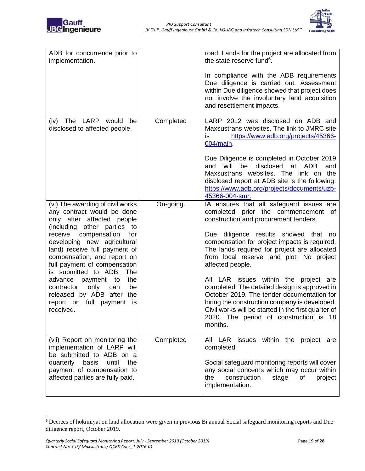



| ADB for concurrence prior to<br>implementation.                                                                                                                                                                                                                                                                                                                                                                                                                                      |           | road. Lands for the project are allocated from<br>the state reserve fund <sup>6</sup> .<br>In compliance with the ADB requirements<br>Due diligence is carried out. Assessment<br>within Due diligence showed that project does<br>not involve the involuntary land acquisition<br>and resettlement impacts.                                                                                                                                                                                                                                                                                                                                    |
|--------------------------------------------------------------------------------------------------------------------------------------------------------------------------------------------------------------------------------------------------------------------------------------------------------------------------------------------------------------------------------------------------------------------------------------------------------------------------------------|-----------|-------------------------------------------------------------------------------------------------------------------------------------------------------------------------------------------------------------------------------------------------------------------------------------------------------------------------------------------------------------------------------------------------------------------------------------------------------------------------------------------------------------------------------------------------------------------------------------------------------------------------------------------------|
| The<br>LARP would<br>(iv)<br>be<br>disclosed to affected people.                                                                                                                                                                                                                                                                                                                                                                                                                     | Completed | LARP 2012 was disclosed on ADB and<br>Maxsustrans websites. The link to JMRC site<br>https://www.adb.org/projects/45366-<br>is<br>004/main.<br>Due Diligence is completed in October 2019<br>will<br>be<br>disclosed<br>at<br>ADB<br>and<br>and<br>Maxsustrans websites. The link on the<br>disclosed report at ADB site is the following:<br>https://www.adb.org/projects/documents/uzb-<br>45366-004-smr.                                                                                                                                                                                                                                     |
| (vi) The awarding of civil works<br>any contract would be done<br>only after affected people<br>other parties<br>(including<br>to<br>compensation<br>receive<br>for<br>developing new agricultural<br>land) receive full payment of<br>compensation, and report on<br>full payment of compensation<br>is submitted to ADB.<br>The<br>advance<br>the<br>payment<br>to<br>only<br>be<br>contractor<br>can<br>released by ADB after<br>the<br>report on full payment<br>is<br>received. | On-going. | IA ensures that all safeguard issues are<br>prior the commencement<br>completed<br>0t<br>construction and procurement tenders.<br>Due diligence results showed<br>that no<br>compensation for project impacts is required.<br>The lands required for project are allocated<br>from local reserve land plot. No project<br>affected people.<br>All LAR issues within the project are<br>completed. The detailed design is approved in<br>October 2019. The tender documentation for<br>hiring the construction company is developed.<br>Civil works will be started in the first quarter of<br>2020. The period of construction is 18<br>months. |
| (vii) Report on monitoring the<br>implementation of LARP will<br>be submitted to ADB on a<br>quarterly<br>basis<br>until<br>the<br>payment of compensation to<br>affected parties are fully paid.                                                                                                                                                                                                                                                                                    | Completed | All LAR issues within the project are<br>completed.<br>Social safeguard monitoring reports will cover<br>any social concerns which may occur within<br>construction<br>the<br>stage<br>of<br>project<br>implementation.                                                                                                                                                                                                                                                                                                                                                                                                                         |

 $\overline{a}$ 

<sup>6</sup> Decrees of hokimiyat on land allocation were given in previous Bi annual Social safeguard monitoring reports and Due diligence report, October 2019.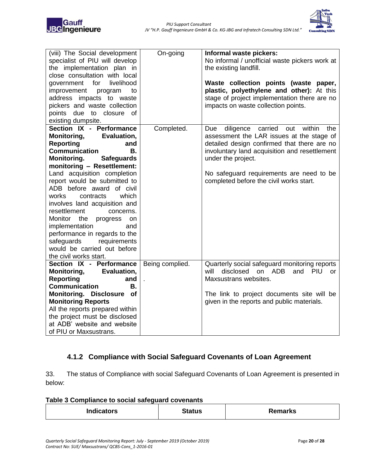

| (viii) The Social development<br>specialist of PIU will develop<br>the implementation plan in<br>close consultation with local<br>livelihood<br>government for<br>improvement<br>program<br>to<br>address impacts to waste<br>pickers and waste collection<br>points due to closure of<br>existing dumpsite.                                                                                                                                                                                                                                                                  | On-going              | Informal waste pickers:<br>No informal / unofficial waste pickers work at<br>the existing landfill.<br>Waste collection points (waste paper,<br>plastic, polyethylene and other): At this<br>stage of project implementation there are no<br>impacts on waste collection points.                                     |
|-------------------------------------------------------------------------------------------------------------------------------------------------------------------------------------------------------------------------------------------------------------------------------------------------------------------------------------------------------------------------------------------------------------------------------------------------------------------------------------------------------------------------------------------------------------------------------|-----------------------|----------------------------------------------------------------------------------------------------------------------------------------------------------------------------------------------------------------------------------------------------------------------------------------------------------------------|
| Section IX - Performance<br><b>Monitoring,</b><br>Evaluation,<br><b>Reporting</b><br>and<br><b>Communication</b><br><b>B.</b><br>Monitoring.<br><b>Safeguards</b><br>monitoring - Resettlement:<br>Land acquisition completion<br>report would be submitted to<br>ADB before award of civil<br>which<br>works<br>contracts<br>involves land acquisition and<br>resettlement<br>concerns.<br>Monitor<br>the<br>progress<br>on<br>implementation<br>and<br>performance in regards to the<br>safeguards<br>requirements<br>would be carried out before<br>the civil works start. | Completed.            | within<br>diligence<br>carried<br>out<br>the<br><b>Due</b><br>assessment the LAR issues at the stage of<br>detailed design confirmed that there are no<br>involuntary land acquisition and resettlement<br>under the project.<br>No safeguard requirements are need to be<br>completed before the civil works start. |
| Section IX - Performance<br>Monitoring,<br>Evaluation,<br>Reporting<br>and<br><b>Communication</b><br><b>B.</b><br>Monitoring. Disclosure of<br><b>Monitoring Reports</b><br>All the reports prepared within<br>the project must be disclosed<br>at ADB' website and website<br>of PIU or Maxsustrans.                                                                                                                                                                                                                                                                        | Being complied.<br>J. | Quarterly social safeguard monitoring reports<br>disclosed<br>on ADB<br>will<br>and<br><b>PIU</b><br><b>or</b><br>Maxsustrans websites.<br>The link to project documents site will be<br>given in the reports and public materials.                                                                                  |

### <span id="page-19-0"></span>**4.1.2 Compliance with Social Safeguard Covenants of Loan Agreement**

33. The status of Compliance with social Safeguard Covenants of Loan Agreement is presented in below:

| Table 3 Compliance to social safeguard covenants |  |
|--------------------------------------------------|--|
|--------------------------------------------------|--|

| <b>Indicators</b> | <b>Status</b> | <b>Remarks</b> |
|-------------------|---------------|----------------|
|-------------------|---------------|----------------|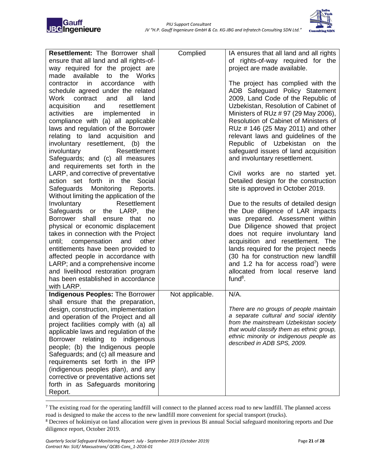



| Resettlement: The Borrower shall<br>ensure that all land and all rights-of-  | Complied        | IA ensures that all land and all rights<br>of rights-of-way required for the        |
|------------------------------------------------------------------------------|-----------------|-------------------------------------------------------------------------------------|
| way required for the project are<br>available<br>Works<br>made<br>to<br>the  |                 | project are made available.                                                         |
| accordance<br>with<br>contractor<br>in                                       |                 | The project has complied with the                                                   |
| schedule agreed under the related                                            |                 | ADB Safeguard Policy Statement                                                      |
| contract<br>and<br>all<br>Work<br>land                                       |                 | 2009, Land Code of the Republic of                                                  |
| resettlement<br>and<br>acquisition<br>activities<br>are<br>implemented<br>in |                 | Uzbekistan, Resolution of Cabinet of<br>Ministers of RUz # 97 (29 May 2006),        |
| compliance with (a) all applicable                                           |                 | Resolution of Cabinet of Ministers of                                               |
| laws and regulation of the Borrower                                          |                 | RUz # 146 (25 May 2011) and other                                                   |
| relating to land acquisition and                                             |                 | relevant laws and guidelines of the                                                 |
| involuntary resettlement, (b) the                                            |                 | Republic of Uzbekistan on the                                                       |
| involuntary<br>Resettlement                                                  |                 | safeguard issues of land acquisition                                                |
| Safeguards; and (c) all measures<br>and requirements set forth in the        |                 | and involuntary resettlement.                                                       |
| LARP, and corrective of preventative                                         |                 | Civil works are no started yet.                                                     |
| action set forth in the Social                                               |                 | Detailed design for the construction                                                |
| Monitoring Reports.<br>Safeguards                                            |                 | site is approved in October 2019.                                                   |
| Without limiting the application of the<br>Involuntary<br>Resettlement       |                 | Due to the results of detailed design                                               |
| Safeguards or the LARP, the                                                  |                 | the Due diligence of LAR impacts                                                    |
| Borrower shall<br>ensure that<br>no                                          |                 | was prepared. Assessment within                                                     |
| physical or economic displacement                                            |                 | Due Diligence showed that project                                                   |
| takes in connection with the Project                                         |                 | does not require involuntary land                                                   |
| compensation<br>other<br>until;<br>and<br>entitlements have been provided to |                 | acquisition and resettlement. The<br>lands required for the project needs           |
| affected people in accordance with                                           |                 | (30 ha for construction new landfill                                                |
| LARP; and a comprehensive income                                             |                 | and 1.2 ha for access road <sup>7</sup> ) were                                      |
| and livelihood restoration program                                           |                 | allocated from local reserve land                                                   |
| has been established in accordance                                           |                 | fund $8$ .                                                                          |
| with LARP.<br><b>Indigenous Peoples: The Borrower</b>                        | Not applicable. | $N/A$ .                                                                             |
| shall ensure that the preparation,                                           |                 |                                                                                     |
| design, construction, implementation                                         |                 | There are no groups of people maintain                                              |
| and operation of the Project and all                                         |                 | a separate cultural and social identity                                             |
| project facilities comply with (a) all                                       |                 | from the mainstream Uzbekistan society<br>that would classify them as ethnic group, |
| applicable laws and regulation of the                                        |                 | ethnic minority or indigenous people as                                             |
| Borrower relating to<br>indigenous<br>people; (b) the Indigenous people      |                 | described in ADB SPS, 2009.                                                         |
| Safeguards; and (c) all measure and                                          |                 |                                                                                     |
| requirements set forth in the IPP                                            |                 |                                                                                     |
| (indigenous peoples plan), and any                                           |                 |                                                                                     |
| corrective or preventative actions set                                       |                 |                                                                                     |
| forth in as Safeguards monitoring<br>Report.                                 |                 |                                                                                     |
|                                                                              |                 |                                                                                     |

<sup>&</sup>lt;sup>7</sup> The existing road for the operating landfill will connect to the planned access road to new landfill. The planned access road is designed to make the access to the new landfill more convenient for special transport (trucks).

 $\overline{a}$ 

<sup>8</sup> Decrees of hokimiyat on land allocation were given in previous Bi annual Social safeguard monitoring reports and Due diligence report, October 2019.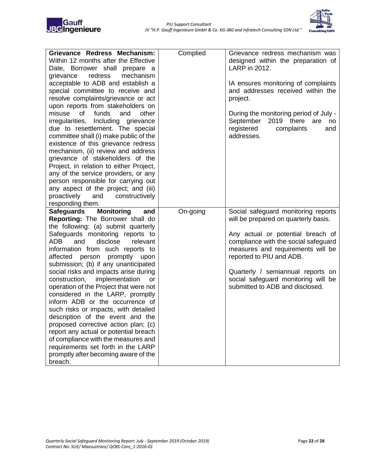

| Grievance Redress Mechanism:<br>Within 12 months after the Effective<br>Date, Borrower shall prepare a<br>redress<br>mechanism<br>grievance | Complied | Grievance redress mechanism was<br>designed within the preparation of<br>LARP in 2012. |
|---------------------------------------------------------------------------------------------------------------------------------------------|----------|----------------------------------------------------------------------------------------|
| acceptable to ADB and establish a                                                                                                           |          | IA ensures monitoring of complaints                                                    |
| special committee to receive and                                                                                                            |          | and addresses received within the                                                      |
| resolve complaints/grievance or act                                                                                                         |          | project.                                                                               |
| upon reports from stakeholders on                                                                                                           |          |                                                                                        |
| funds<br>misuse of<br>and<br>other                                                                                                          |          | During the monitoring period of July -                                                 |
| irregularities, Including grievance                                                                                                         |          | September<br>2019 there<br>are<br>no                                                   |
| due to resettlement. The special                                                                                                            |          | complaints<br>registered<br>and                                                        |
| committee shall (i) make public of the                                                                                                      |          | addresses.                                                                             |
| existence of this grievance redress                                                                                                         |          |                                                                                        |
| mechanism, (ii) review and address                                                                                                          |          |                                                                                        |
| grievance of stakeholders of the                                                                                                            |          |                                                                                        |
| Project, in relation to either Project,                                                                                                     |          |                                                                                        |
| any of the service providers, or any                                                                                                        |          |                                                                                        |
| person responsible for carrying out                                                                                                         |          |                                                                                        |
| any aspect of the project; and (iii)                                                                                                        |          |                                                                                        |
| proactively<br>and<br>constructively                                                                                                        |          |                                                                                        |
| responding them.                                                                                                                            |          |                                                                                        |
|                                                                                                                                             |          |                                                                                        |
| <b>Safeguards</b><br><b>Monitoring</b><br>and                                                                                               | On-going | Social safeguard monitoring reports                                                    |
| Reporting: The Borrower shall do                                                                                                            |          | will be prepared on quarterly basis.                                                   |
| the following: (a) submit quarterly                                                                                                         |          |                                                                                        |
| Safeguards monitoring reports to                                                                                                            |          | Any actual or potential breach of                                                      |
| disclose<br>ADB<br>and<br>relevant                                                                                                          |          | compliance with the social safeguard                                                   |
| information from such reports to                                                                                                            |          | measures and requirements will be                                                      |
| affected person promptly<br>upon                                                                                                            |          | reported to PIU and ADB.                                                               |
| submission; (b) if any unanticipated                                                                                                        |          |                                                                                        |
| social risks and impacts arise during<br>or                                                                                                 |          | Quarterly / semiannual reports on                                                      |
| implementation<br>construction,<br>operation of the Project that were not                                                                   |          | social safeguard monitoring will be<br>submitted to ADB and disclosed.                 |
| considered in the LARP, promptly                                                                                                            |          |                                                                                        |
| inform ADB or the occurrence of                                                                                                             |          |                                                                                        |
| such risks or impacts, with detailed                                                                                                        |          |                                                                                        |
| description of the event and the                                                                                                            |          |                                                                                        |
| proposed corrective action plan; (c)                                                                                                        |          |                                                                                        |
| report any actual or potential breach                                                                                                       |          |                                                                                        |
| of compliance with the measures and                                                                                                         |          |                                                                                        |
| requirements set forth in the LARP                                                                                                          |          |                                                                                        |
| promptly after becoming aware of the<br>breach.                                                                                             |          |                                                                                        |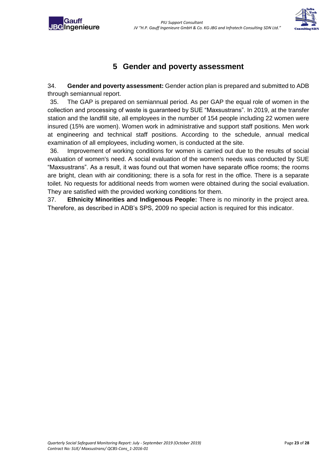<span id="page-22-0"></span>



### **5 Gender and poverty assessment**

34. **Gender and poverty assessment:** Gender action plan is prepared and submitted to ADB through semiannual report.

35. The GAP is prepared on semiannual period. As per GAP the equal role of women in the collection and processing of waste is guaranteed by SUE "Maxsustrans". In 2019, at the transfer station and the landfill site, all employees in the number of 154 people including 22 women were insured (15% are women). Women work in administrative and support staff positions. Men work at engineering and technical staff positions. According to the schedule, annual medical examination of all employees, including women, is conducted at the site.

36. Improvement of working conditions for women is carried out due to the results of social evaluation of women's need. A social evaluation of the women's needs was conducted by SUE "Maxsustrans". As a result, it was found out that women have separate office rooms; the rooms are bright, clean with air conditioning; there is a sofa for rest in the office. There is a separate toilet. No requests for additional needs from women were obtained during the social evaluation. They are satisfied with the provided working conditions for them.

37. **Ethnicity Minorities and Indigenous People:** There is no minority in the project area. Therefore, as described in ADB's SPS, 2009 no special action is required for this indicator.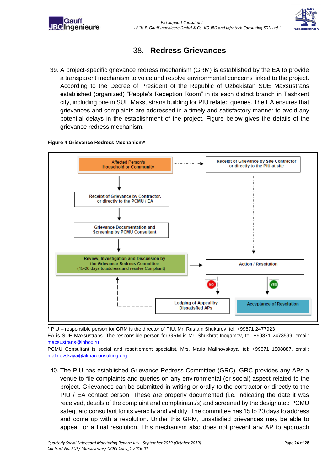<span id="page-23-0"></span>



### 38. **Redress Grievances**

39. A project-specific grievance redress mechanism (GRM) is established by the EA to provide a transparent mechanism to voice and resolve environmental concerns linked to the project. According to the Decree of President of the Republic of Uzbekistan SUE Maxsustrans established (organized) "People's Reception Room" in its each district branch in Tashkent city, including one in SUE Maxsustrans building for PIU related queries. The EA ensures that grievances and complaints are addressed in a timely and satisfactory manner to avoid any potential delays in the establishment of the project. Figure below gives the details of the grievance redress mechanism.

#### **Figure 4 Grievance Redress Mechanism\***



\* PIU – responsible person for GRM is the director of PIU, Mr. Rustam Shukurov, tel: +99871 2477923

EA is SUE Maxsustrans. The responsible person for GRM is Mr. Shukhrat Inogamov, tel: +99871 2473599, email: [maxsustrans@inbox.ru](mailto:maxsustrans@inbox.ru)

PCMU Consultant is social and resettlement specialist, Mrs. Maria Malinovskaya, tel: +99871 1508887, email: [malinovskaya@almarconsulting.org](mailto:malinovskaya@almarconsulting.org)

40. The PIU has established Grievance Redress Committee (GRC). GRC provides any APs a venue to file complaints and queries on any environmental (or social) aspect related to the project. Grievances can be submitted in writing or orally to the contractor or directly to the PIU / EA contact person. These are properly documented (i.e. indicating the date it was received, details of the complaint and complainant/s) and screened by the designated PCMU safeguard consultant for its veracity and validity. The committee has 15 to 20 days to address and come up with a resolution. Under this GRM, unsatisfied grievances may be able to appeal for a final resolution. This mechanism also does not prevent any AP to approach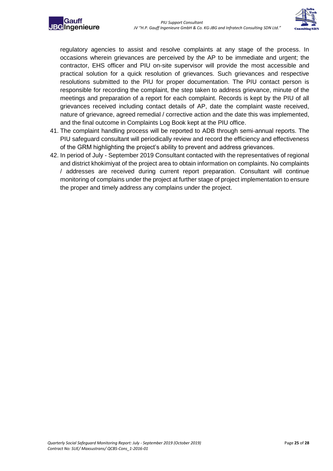



regulatory agencies to assist and resolve complaints at any stage of the process. In occasions wherein grievances are perceived by the AP to be immediate and urgent; the contractor, EHS officer and PIU on-site supervisor will provide the most accessible and practical solution for a quick resolution of grievances. Such grievances and respective resolutions submitted to the PIU for proper documentation. The PIU contact person is responsible for recording the complaint, the step taken to address grievance, minute of the meetings and preparation of a report for each complaint. Records is kept by the PIU of all grievances received including contact details of AP, date the complaint waste received, nature of grievance, agreed remedial / corrective action and the date this was implemented, and the final outcome in Complaints Log Book kept at the PIU office.

- 41. The complaint handling process will be reported to ADB through semi-annual reports. The PIU safeguard consultant will periodically review and record the efficiency and effectiveness of the GRM highlighting the project's ability to prevent and address grievances.
- 42. In period of July September 2019 Consultant contacted with the representatives of regional and district khokimiyat of the project area to obtain information on complaints. No complaints / addresses are received during current report preparation. Consultant will continue monitoring of complains under the project at further stage of project implementation to ensure the proper and timely address any complains under the project.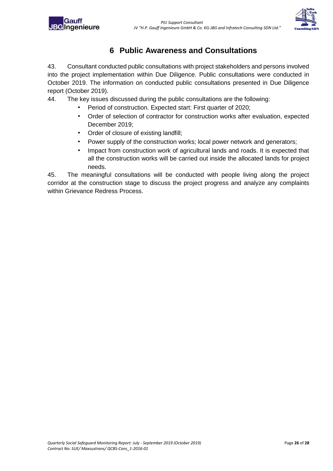<span id="page-25-0"></span>



### **6 Public Awareness and Consultations**

43. Consultant conducted public consultations with project stakeholders and persons involved into the project implementation within Due Diligence. Public consultations were conducted in October 2019. The information on conducted public consultations presented in Due Diligence report (October 2019).

44. The key issues discussed during the public consultations are the following:

- Period of construction. Expected start: First quarter of 2020;
- Order of selection of contractor for construction works after evaluation, expected December 2019;
- Order of closure of existing landfill;
- Power supply of the construction works; local power network and generators;
- Impact from construction work of agricultural lands and roads. It is expected that all the construction works will be carried out inside the allocated lands for project needs.

45. The meaningful consultations will be conducted with people living along the project corridor at the construction stage to discuss the project progress and analyze any complaints within Grievance Redress Process.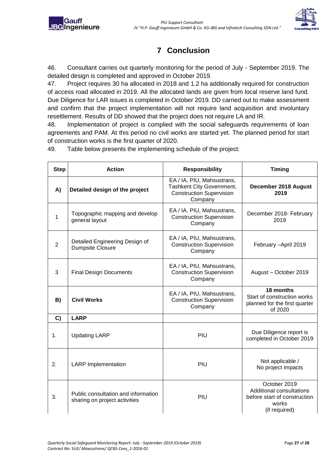

## **7 Conclusion**

<span id="page-26-0"></span>46. Consultant carries out quarterly monitoring for the period of July - September 2019. The detailed design is completed and approved in October 2019.

47. Project requires 30 ha allocated in 2018 and 1.2 ha additionally required for construction of access road allocated in 2019. All the allocated lands are given from local reserve land fund. Due Diligence for LAR issues is completed in October 2019. DD carried out to make assessment and confirm that the project implementation will not require land acquisition and involuntary resettlement. Results of DD showed that the project does not require LA and IR.

48. Implementation of project is complied with the social safeguards requirements of loan agreements and PAM. At this period no civil works are started yet. The planned period for start of construction works is the first quarter of 2020.

49. Table below presents the implementing schedule of the project:

| <b>Step</b>    | <b>Action</b>                                                        | <b>Responsibility</b>                                                                                 | <b>Timing</b>                                                                                      |
|----------------|----------------------------------------------------------------------|-------------------------------------------------------------------------------------------------------|----------------------------------------------------------------------------------------------------|
| A)             | Detailed design of the project                                       | EA / IA, PIU, Mahsustrans,<br>Tashkent City Government,<br><b>Construction Supervision</b><br>Company | December 2018 August<br>2019                                                                       |
| 1              | Topographic mapping and develop<br>general layout                    | EA / IA, PIU, Mahsustrans,<br><b>Construction Supervision</b><br>Company                              | December 2018- February<br>2019                                                                    |
| $\overline{2}$ | Detailed Engineering Design of<br><b>Dumpsite Closure</b>            | EA / IA, PIU, Mahsustrans,<br><b>Construction Supervision</b><br>Company                              | February - April 2019                                                                              |
| 3              | <b>Final Design Documents</b>                                        | EA / IA, PIU, Mahsustrans,<br><b>Construction Supervision</b><br>Company                              | August - October 2019                                                                              |
| B)             | <b>Civil Works</b>                                                   | EA / IA, PIU, Mahsustrans,<br><b>Construction Supervision</b><br>Company                              | 18 months<br>Start of construction works<br>planned for the first quarter<br>of 2020               |
| C)             | <b>LARP</b>                                                          |                                                                                                       |                                                                                                    |
| 1.             | <b>Updating LARP</b>                                                 | PIU                                                                                                   | Due Diligence report is<br>completed in October 2019                                               |
| 2.             | <b>LARP</b> Implementation                                           | PIU                                                                                                   | Not applicable /<br>No project impacts                                                             |
| 3.             | Public consultation and information<br>sharing on project activities | PIU                                                                                                   | October 2019<br>Additional consultations<br>before start of construction<br>works<br>(if required) |